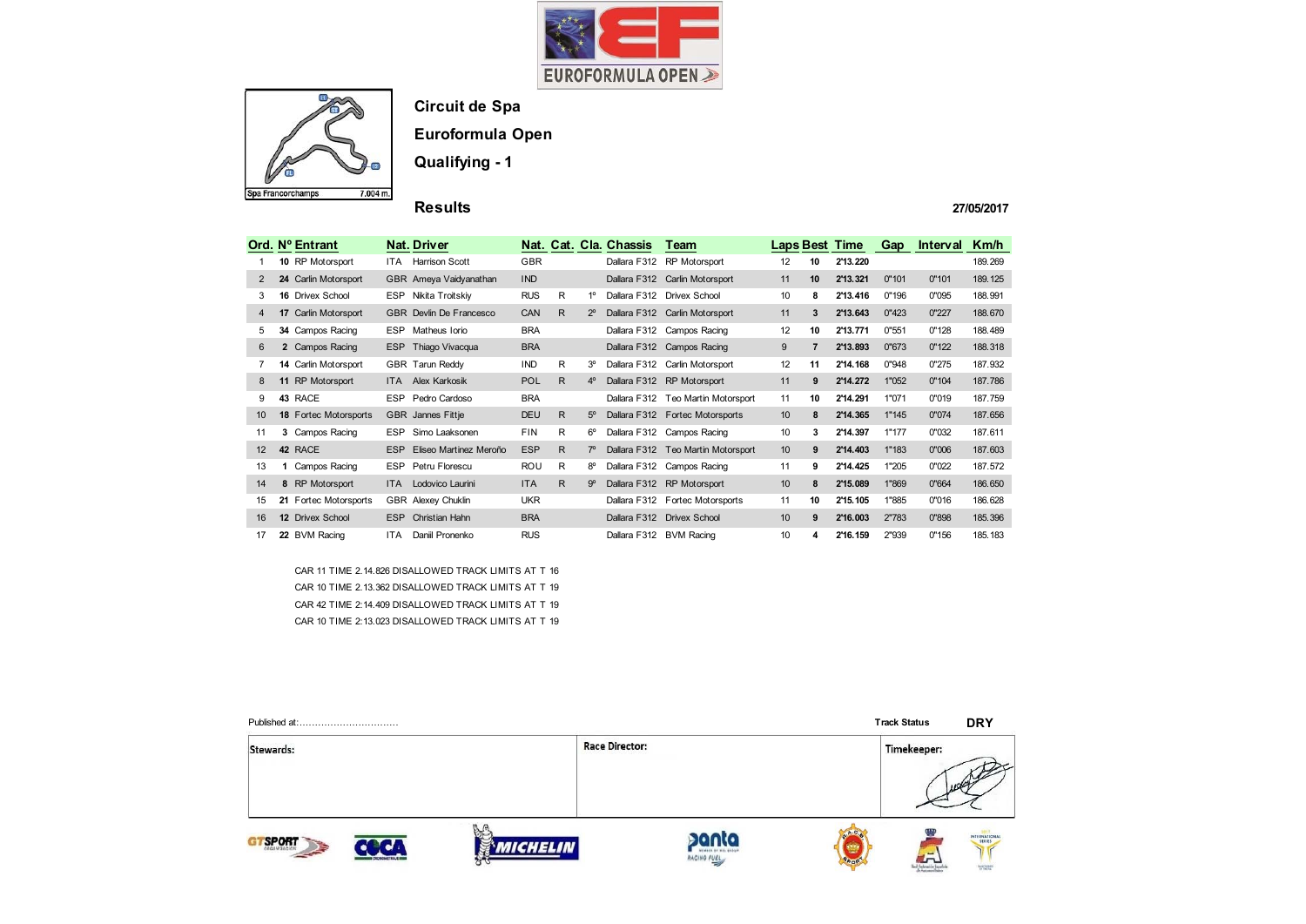



### **Circuit de Spa**

**Euroformula Open**

**Qualifying - 1**

**Results** 

**27/05/2017**

|                | Ord. Nº Entrant              |            | Nat. Driver                    |            |              |                | Nat. Cat. Cla. Chassis | Team                               |    |                 | <b>Laps Best Time</b> | Gap   | Interval | Km/h    |
|----------------|------------------------------|------------|--------------------------------|------------|--------------|----------------|------------------------|------------------------------------|----|-----------------|-----------------------|-------|----------|---------|
|                | 10 RP Motorsport             | ITA.       | <b>Harrison Scott</b>          | <b>GBR</b> |              |                | Dallara F312           | <b>RP</b> Motorsport               | 12 | 10              | 2'13.220              |       |          | 189.269 |
|                | 24 Carlin Motorsport         |            | GBR Ameya Vaidyanathan         | <b>IND</b> |              |                |                        | Dallara F312 Carlin Motorsport     | 11 | 10 <sup>1</sup> | 2'13.321              | 0"101 | 0"101    | 189.125 |
| 3              | 16 Drivex School             | <b>ESP</b> | Nikita Troitskiy               | <b>RUS</b> | R            | $1^{\circ}$    |                        | Dallara F312 Drivex School         | 10 | 8               | 2'13.416              | 0"196 | 0"095    | 188.991 |
| $\overline{4}$ | 17 Carlin Motorsport         |            | <b>GBR</b> Devlin De Francesco | CAN        | R.           | $2^{\circ}$    |                        | Dallara F312 Carlin Motorsport     | 11 | 3               | 2'13.643              | 0"423 | 0"227    | 188.670 |
| 5              | 34 Campos Racing             | <b>ESP</b> | Matheus Iorio                  | <b>BRA</b> |              |                |                        | Dallara F312 Campos Racing         | 12 | 10              | 2'13.771              | 0"551 | 0"128    | 188.489 |
| 6              | 2 Campos Racing              |            | ESP Thiago Vivacqua            | <b>BRA</b> |              |                |                        | Dallara F312 Campos Racing         | 9  | $\overline{7}$  | 2'13.893              | 0"673 | 0"122    | 188.318 |
| 7              | 14 Carlin Motorsport         |            | GBR Tarun Reddy                | <b>IND</b> | R            | 3 <sup>o</sup> |                        | Dallara F312 Carlin Motorsport     | 12 | 11              | 2'14.168              | 0"948 | 0"275    | 187.932 |
| 8              | 11 RP Motorsport             | <b>ITA</b> | Alex Karkosik                  | <b>POL</b> | $\mathsf{R}$ | 4 <sup>o</sup> |                        | Dallara F312 RP Motorsport         | 11 | 9               | 2'14.272              | 1"052 | 0"104    | 187.786 |
| 9              | 43 RACE                      | <b>ESP</b> | Pedro Cardoso                  | <b>BRA</b> |              |                | Dallara F312           | Teo Martin Motorsport              | 11 | 10              | 2'14.291              | 1"071 | 0"019    | 187.759 |
| 10             | <b>18 Fortec Motorsports</b> |            | <b>GBR</b> Jannes Fittje       | <b>DEU</b> | R.           | $5^{\circ}$    |                        | Dallara F312 Fortec Motorsports    | 10 | 8               | 2'14.365              | 1"145 | 0"074    | 187.656 |
| 11             | 3 Campos Racing              | <b>ESP</b> | Simo Laaksonen                 | <b>FIN</b> | R            | $6^{\circ}$    |                        | Dallara F312 Campos Racing         | 10 | 3               | 2'14.397              | 1"177 | 0"032    | 187.611 |
| 12             | 42 RACE                      | <b>ESP</b> | Eliseo Martinez Meroño         | <b>ESP</b> | R.           | $7^\circ$      |                        | Dallara F312 Teo Martin Motorsport | 10 | 9               | 2'14.403              | 1"183 | 0"006    | 187.603 |
| 13             | Campos Racing                | <b>ESP</b> | Petru Florescu                 | <b>ROU</b> | R            | $8^{\circ}$    | Dallara F312           | Campos Racing                      | 11 | 9               | 2'14.425              | 1"205 | 0"022    | 187.572 |
| 14             | 8 RP Motorsport              | <b>ITA</b> | Lodovico Laurini               | <b>ITA</b> | R.           | $9^{\circ}$    |                        | Dallara F312 RP Motorsport         | 10 | 8               | 2'15.089              | 1"869 | 0"664    | 186.650 |
| 15             | 21 Fortec Motorsports        |            | GBR Alexey Chuklin             | <b>UKR</b> |              |                |                        | Dallara F312 Fortec Motorsports    | 11 | 10              | 2'15.105              | 1"885 | 0"016    | 186.628 |
| 16             | 12 Drivex School             | <b>ESP</b> | <b>Christian Hahn</b>          | <b>BRA</b> |              |                |                        | Dallara F312 Drivex School         | 10 | 9               | 2'16.003              | 2"783 | 0"898    | 185.396 |
| 17             | 22 BVM Racing                | <b>ITA</b> | Daniil Pronenko                | <b>RUS</b> |              |                |                        | Dallara F312 BVM Racing            | 10 | 4               | 2'16.159              | 2"939 | 0"156    | 185.183 |

CAR 11 TIME 2.14.826 DISALLOWED TRACK LIMITS AT T 16 CAR 10 TIME 2.13.362 DISALLOWED TRACK LIMITS AT T 19 CAR 42 TIME 2:14.409 DISALLOWED TRACK LIMITS AT T 19 CAR 10 TIME 2:13.023 DISALLOWED TRACK LIMITS AT T 19

| Published at: |                         |                     |                       |                                    |             | <b>Track Status</b> | <b>DRY</b>                  |
|---------------|-------------------------|---------------------|-----------------------|------------------------------------|-------------|---------------------|-----------------------------|
| Stewards:     |                         |                     | <b>Race Director:</b> |                                    |             | Timekeeper:         |                             |
| <b>SPORT</b>  | <b>CHONOMETRAJE III</b> | <b>CHELIN</b><br>ਨਾ |                       | MEMBER OF MOS GROUP<br>RACINO FUEL | <b>ROOP</b> | de Automobilistas   | INTERNATIONAL<br>Lancisteen |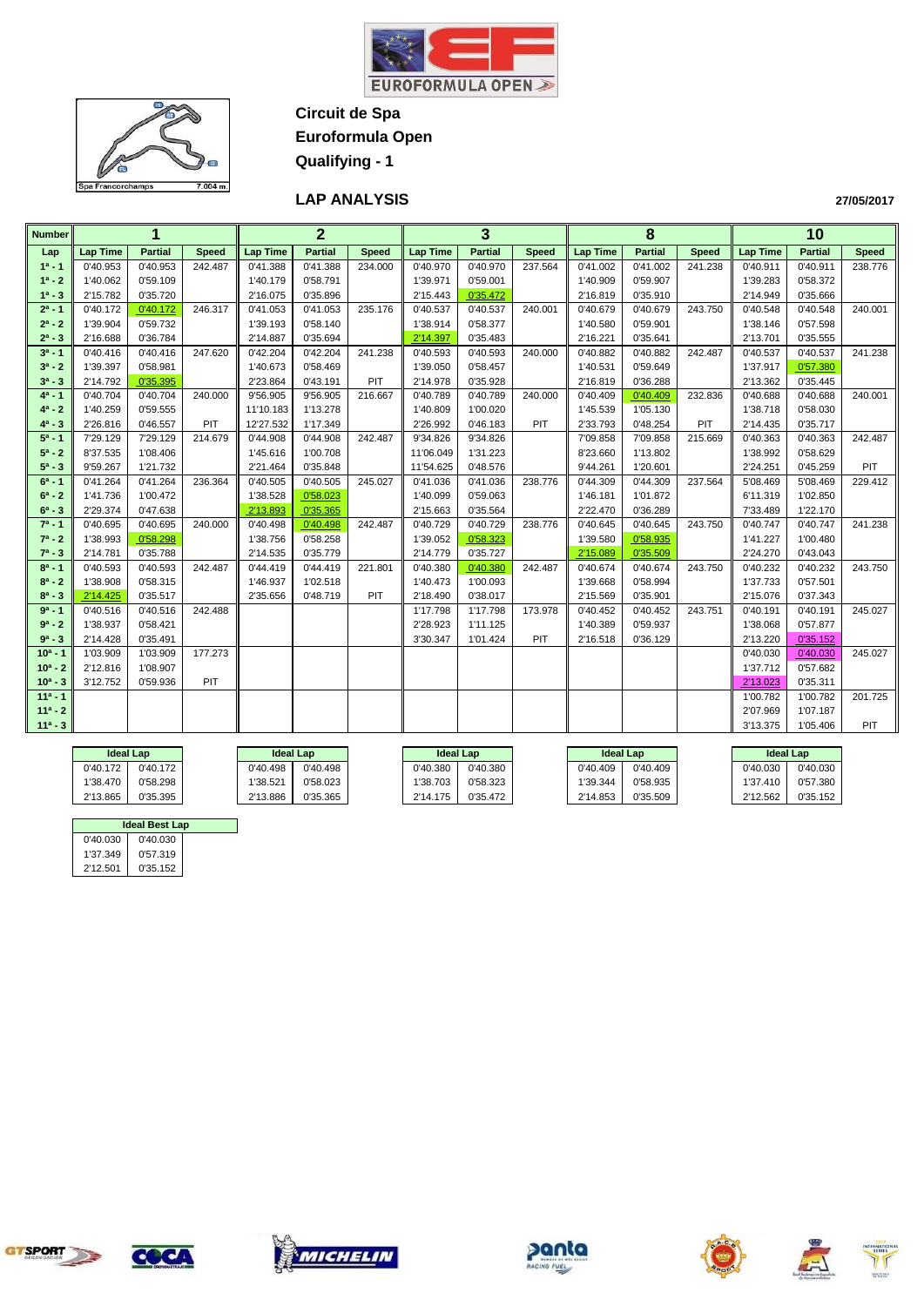



**LAP ANALYSIS** 

| <b>Number</b> |                 | 1              |              |                 | $\overline{2}$ |              |                 | 3              |              |                 | 8              |              |                 | 10             |              |
|---------------|-----------------|----------------|--------------|-----------------|----------------|--------------|-----------------|----------------|--------------|-----------------|----------------|--------------|-----------------|----------------|--------------|
| Lap           | <b>Lap Time</b> | <b>Partial</b> | <b>Speed</b> | <b>Lap Time</b> | <b>Partial</b> | <b>Speed</b> | <b>Lap Time</b> | <b>Partial</b> | <b>Speed</b> | <b>Lap Time</b> | <b>Partial</b> | <b>Speed</b> | <b>Lap Time</b> | <b>Partial</b> | <b>Speed</b> |
| $1a - 1$      | 0'40.953        | 0'40.953       | 242.487      | 0'41.388        | 0'41.388       | 234.000      | 0'40.970        | 0'40.970       | 237.564      | 0'41.002        | 0'41.002       | 241.238      | 0'40.911        | 0'40.911       | 238.776      |
| $1^a - 2$     | 1'40.062        | 0'59.109       |              | 1'40.179        | 0'58.791       |              | 1'39.971        | 0'59.001       |              | 1'40.909        | 0'59.907       |              | 1'39.283        | 0'58.372       |              |
| $1^a - 3$     | 2'15.782        | 0'35.720       |              | 2'16.075        | 0'35.896       |              | 2'15.443        | 0'35.472       |              | 2'16.819        | 0'35.910       |              | 2'14.949        | 0'35.666       |              |
| $2^a - 1$     | 0'40.172        | 0'40.172       | 246.317      | 0'41.053        | 0'41.053       | 235.176      | 0'40.537        | 0'40.537       | 240.001      | 0'40.679        | 0'40.679       | 243.750      | 0'40.548        | 0'40.548       | 240.001      |
| $2^a - 2$     | 1'39.904        | 0'59.732       |              | 1'39.193        | 0'58.140       |              | 1'38.914        | 0'58.377       |              | 1'40.580        | 0'59.901       |              | 1'38.146        | 0'57.598       |              |
| $2^a - 3$     | 2'16.688        | 0'36.784       |              | 2'14.887        | 0'35.694       |              | 2'14.397        | 0'35.483       |              | 2'16.221        | 0'35.641       |              | 2'13.701        | 0'35.555       |              |
| $3^a - 1$     | 0'40.416        | 0'40.416       | 247.620      | 0'42.204        | 0'42.204       | 241.238      | 0'40.593        | 0'40.593       | 240.000      | 0'40.882        | 0'40.882       | 242.487      | 0'40.537        | 0'40.537       | 241.238      |
| $3^a - 2$     | 1'39.397        | 0'58.981       |              | 1'40.673        | 0'58.469       |              | 1'39.050        | 0'58.457       |              | 1'40.531        | 0'59.649       |              | 1'37.917        | 0'57.380       |              |
| $3^a - 3$     | 2'14.792        | 0'35.395       |              | 2'23.864        | 0'43.191       | PIT          | 2'14.978        | 0'35.928       |              | 2'16.819        | 0'36.288       |              | 2'13.362        | 0'35.445       |              |
| $4^a - 1$     | 0'40.704        | 0'40.704       | 240.000      | 9'56.905        | 9'56.905       | 216.667      | 0'40.789        | 0'40.789       | 240.000      | 0'40.409        | 0'40.409       | 232.836      | 0'40.688        | 0'40.688       | 240.001      |
| $4^a - 2$     | 1'40.259        | 0'59.555       |              | 11'10.183       | 1'13.278       |              | 1'40.809        | 1'00.020       |              | 1'45.539        | 1'05.130       |              | 1'38.718        | 0'58.030       |              |
| $4^a - 3$     | 2'26.816        | 0'46.557       | PIT          | 12'27.532       | 1'17.349       |              | 2'26.992        | 0'46.183       | PIT          | 2'33.793        | 0'48.254       | PIT          | 2'14.435        | 0'35.717       |              |
| $5^a - 1$     | 7'29.129        | 7'29.129       | 214.679      | 0'44.908        | 0'44.908       | 242.487      | 9'34.826        | 9'34.826       |              | 7'09.858        | 7'09.858       | 215.669      | 0'40.363        | 0'40.363       | 242.487      |
| $5^a - 2$     | 8'37.535        | 1'08.406       |              | 1'45.616        | 1'00.708       |              | 11'06.049       | 1'31.223       |              | 8'23.660        | 1'13.802       |              | 1'38.992        | 0'58.629       |              |
| $5^a - 3$     | 9'59.267        | 1'21.732       |              | 2'21.464        | 0'35.848       |              | 11'54.625       | 0'48.576       |              | 9'44.261        | 1'20.601       |              | 2'24.251        | 0'45.259       | PIT          |
| $6^a - 1$     | 0'41.264        | 0'41.264       | 236.364      | 0'40.505        | 0'40.505       | 245.027      | 0'41.036        | 0'41.036       | 238.776      | 0'44.309        | 0'44.309       | 237.564      | 5'08.469        | 5'08.469       | 229.412      |
| $6^a - 2$     | 1'41.736        | 1'00.472       |              | 1'38.528        | 0'58.023       |              | 1'40.099        | 0'59.063       |              | 1'46.181        | 1'01.872       |              | 6'11.319        | 1'02.850       |              |
| $6^a - 3$     | 2'29.374        | 0'47.638       |              | 2'13.893        | 0'35.365       |              | 2'15.663        | 0'35.564       |              | 2'22.470        | 0'36.289       |              | 7'33.489        | 1'22.170       |              |
| $7^a - 1$     | 0'40.695        | 0'40.695       | 240.000      | 0'40.498        | 0'40.498       | 242.487      | 0'40.729        | 0'40.729       | 238.776      | 0'40.645        | 0'40.645       | 243.750      | 0'40.747        | 0'40.747       | 241.238      |
| $7^a - 2$     | 1'38.993        | 0'58.298       |              | 1'38.756        | 0'58.258       |              | 1'39.052        | 0'58.323       |              | 1'39.580        | 0'58.935       |              | 1'41.227        | 1'00.480       |              |
| $7^a - 3$     | 2'14.781        | 0'35.788       |              | 2'14.535        | 0'35.779       |              | 2'14.779        | 0'35.727       |              | 2'15.089        | 0'35.509       |              | 2'24.270        | 0'43.043       |              |
| $8^a - 1$     | 0'40.593        | 0'40.593       | 242.487      | 0'44.419        | 0'44.419       | 221.801      | 0'40.380        | 0'40.380       | 242.487      | 0'40.674        | 0'40.674       | 243.750      | 0'40.232        | 0'40.232       | 243.750      |
| $8^a - 2$     | 1'38.908        | 0'58.315       |              | 1'46.937        | 1'02.518       |              | 1'40.473        | 1'00.093       |              | 1'39.668        | 0'58.994       |              | 1'37.733        | 0'57.501       |              |
| $8^a - 3$     | 2'14.425        | 0'35.517       |              | 2'35.656        | 0'48.719       | PIT          | 2'18.490        | 0'38.017       |              | 2'15.569        | 0'35.901       |              | 2'15.076        | 0'37.343       |              |
| $9a - 1$      | 0'40.516        | 0'40.516       | 242.488      |                 |                |              | 1'17.798        | 1'17.798       | 173.978      | 0'40.452        | 0'40.452       | 243.751      | 0'40.191        | 0'40.191       | 245.027      |
| $9a - 2$      | 1'38.937        | 0'58.421       |              |                 |                |              | 2'28.923        | 1'11.125       |              | 1'40.389        | 0'59.937       |              | 1'38.068        | 0'57.877       |              |
| $9^a - 3$     | 2'14.428        | 0'35.491       |              |                 |                |              | 3'30.347        | 1'01.424       | PIT          | 2'16.518        | 0'36.129       |              | 2'13.220        | 0'35.152       |              |
| $10a - 1$     | 1'03.909        | 1'03.909       | 177.273      |                 |                |              |                 |                |              |                 |                |              | 0'40.030        | 0'40.030       | 245.027      |
| $10^a - 2$    | 2'12.816        | 1'08.907       |              |                 |                |              |                 |                |              |                 |                |              | 1'37.712        | 0'57.682       |              |
| $10^a - 3$    | 3'12.752        | 0'59.936       | PIT          |                 |                |              |                 |                |              |                 |                |              | 2'13.023        | 0'35.311       |              |
| $11a - 1$     |                 |                |              |                 |                |              |                 |                |              |                 |                |              | 1'00.782        | 1'00.782       | 201.725      |
| $11a - 2$     |                 |                |              |                 |                |              |                 |                |              |                 |                |              | 2'07.969        | 1'07.187       |              |
| $11a - 3$     |                 |                |              |                 |                |              |                 |                |              |                 |                |              | 3'13.375        | 1'05.406       | PIT          |

|          | Ideal Lap |          | <b>Ideal Lap</b> | <b>Ideal Lap</b> |          | <b>Ideal Lap</b> |          |          | <b>Ideal Lap</b> |
|----------|-----------|----------|------------------|------------------|----------|------------------|----------|----------|------------------|
| 0'40.172 | 0'40.172  | 0'40.498 | 0'40.498         | 0'40.380         | 0'40.380 | 0'40.409         | 0'40.409 | 0'40.030 | 0'40.030         |
| 1'38.470 | 0'58.298  | 1'38.521 | 0'58.023         | '38.703          | 0'58.323 | 1'39.344         | 0'58.935 | 1'37.410 | 0'57.380         |
| 2'13.865 | 0'35.395  | 2'13.886 | 0'35.365         | 2'14.175         | 0'35.472 | 2'14.853         | 0'35.509 | 2'12.562 | 0'35.152         |

|          | <b>Ideal Best Lap</b> |  |
|----------|-----------------------|--|
| 0'40.030 | 0'40.030              |  |
| 1'37.349 | 0'57.319              |  |
| 2'12.501 | 0'35.152              |  |

Tel











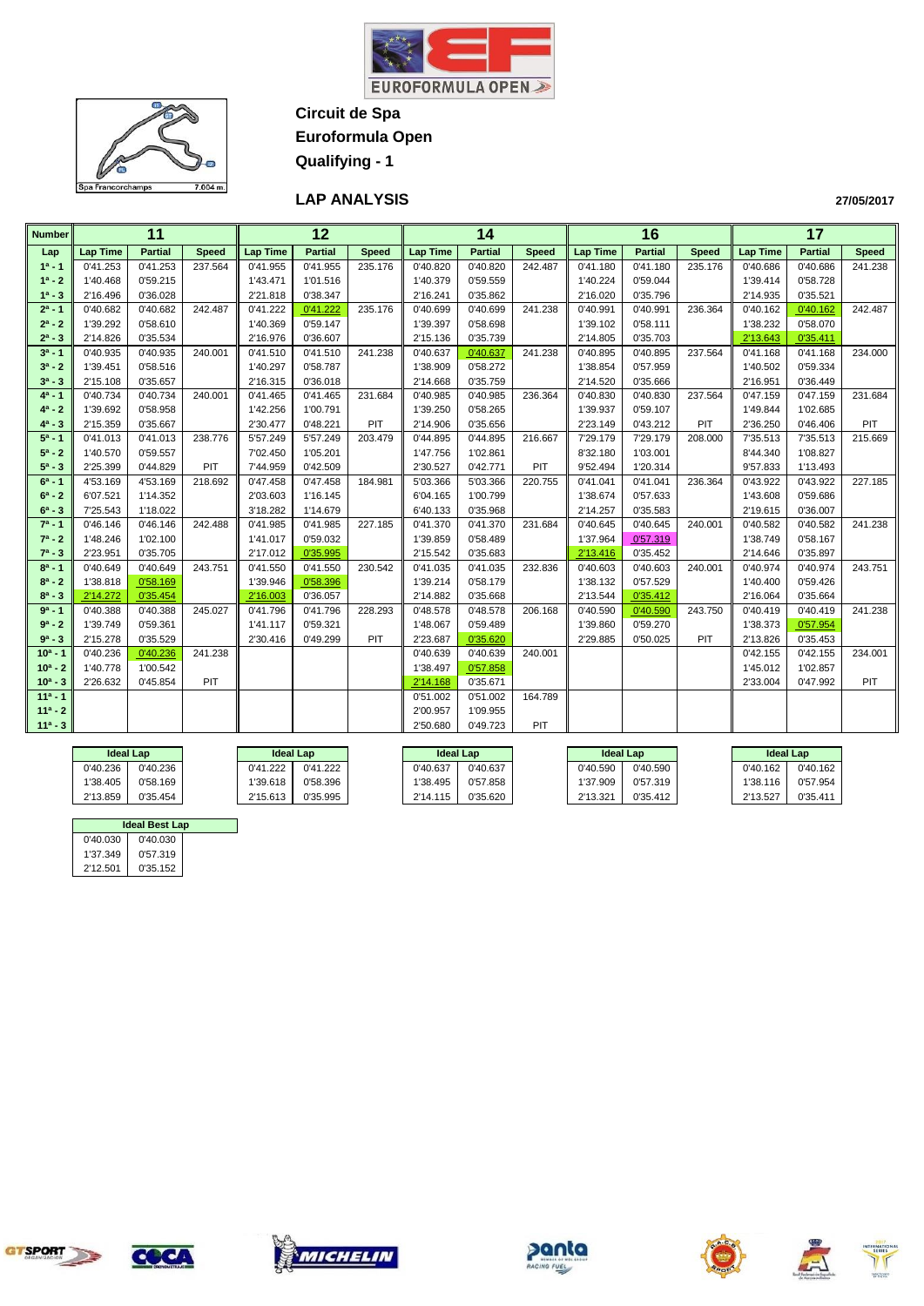



**Circuit de Spa Euroformula Open**

**Qualifying - 1**

# **LAP ANALYSIS**

| <b>Number</b> |                 | 11             |              |                 | 12             |              |                 | 14             |              |                 | 16             |              |                 | 17             |              |
|---------------|-----------------|----------------|--------------|-----------------|----------------|--------------|-----------------|----------------|--------------|-----------------|----------------|--------------|-----------------|----------------|--------------|
| Lap           | <b>Lap Time</b> | <b>Partial</b> | <b>Speed</b> | <b>Lap Time</b> | <b>Partial</b> | <b>Speed</b> | <b>Lap Time</b> | <b>Partial</b> | <b>Speed</b> | <b>Lap Time</b> | <b>Partial</b> | <b>Speed</b> | <b>Lap Time</b> | <b>Partial</b> | <b>Speed</b> |
| $1a - 1$      | 0'41.253        | 0'41.253       | 237.564      | 0'41.955        | 0'41.955       | 235.176      | 0'40.820        | 0'40.820       | 242.487      | 0'41.180        | 0'41.180       | 235.176      | 0'40.686        | 0'40.686       | 241.238      |
| $1^a - 2$     | 1'40.468        | 0'59.215       |              | 1'43.471        | 1'01.516       |              | 1'40.379        | 0'59.559       |              | 1'40.224        | 0'59.044       |              | 1'39.414        | 0'58.728       |              |
| $1^a - 3$     | 2'16.496        | 0'36.028       |              | 2'21.818        | 0'38.347       |              | 2'16.241        | 0'35.862       |              | 2'16.020        | 0'35.796       |              | 2'14.935        | 0'35.521       |              |
| $2^a - 1$     | 0'40.682        | 0'40.682       | 242.487      | 0'41.222        | 0'41.222       | 235.176      | 0'40.699        | 0'40.699       | 241.238      | 0'40.991        | 0'40.991       | 236.364      | 0'40.162        | 0'40.162       | 242.487      |
| $2^a - 2$     | 1'39.292        | 0'58.610       |              | 1'40.369        | 0'59.147       |              | 1'39.397        | 0'58.698       |              | 1'39.102        | 0'58.111       |              | 1'38.232        | 0'58.070       |              |
| $2^a - 3$     | 2'14.826        | 0'35.534       |              | 2'16.976        | 0'36.607       |              | 2'15.136        | 0'35.739       |              | 2'14.805        | 0'35.703       |              | 2'13.643        | 0'35.411       |              |
| $3^a - 1$     | 0'40.935        | 0'40.935       | 240.001      | 0'41.510        | 0'41.510       | 241.238      | 0'40.637        | 0'40.637       | 241.238      | 0'40.895        | 0'40.895       | 237.564      | 0'41.168        | 0'41.168       | 234.000      |
| $3^a - 2$     | 1'39.451        | 0'58.516       |              | 1'40.297        | 0'58.787       |              | 1'38.909        | 0'58.272       |              | 1'38.854        | 0'57.959       |              | 1'40.502        | 0'59.334       |              |
| $3^a - 3$     | 2'15.108        | 0'35.657       |              | 2'16.315        | 0'36.018       |              | 2'14.668        | 0'35.759       |              | 2'14.520        | 0'35.666       |              | 2'16.951        | 0'36.449       |              |
| $4^a - 1$     | 0'40.734        | 0'40.734       | 240.001      | 0'41.465        | 0'41.465       | 231.684      | 0'40.985        | 0'40.985       | 236.364      | 0'40.830        | 0'40.830       | 237.564      | 0'47.159        | 0'47.159       | 231.684      |
| $4^a - 2$     | 1'39.692        | 0'58.958       |              | 1'42.256        | 1'00.791       |              | 1'39.250        | 0'58.265       |              | 1'39.937        | 0'59.107       |              | 1'49.844        | 1'02.685       |              |
| $4^a - 3$     | 2'15.359        | 0'35.667       |              | 2'30.477        | 0'48.221       | PIT          | 2'14.906        | 0'35.656       |              | 2'23.149        | 0'43.212       | PIT          | 2'36.250        | 0'46.406       | PIT          |
| $5^a - 1$     | 0'41.013        | 0'41.013       | 238.776      | 5'57.249        | 5'57.249       | 203.479      | 0'44.895        | 0'44.895       | 216.667      | 7'29.179        | 7'29.179       | 208.000      | 7'35.513        | 7'35.513       | 215.669      |
| $5^a - 2$     | 1'40.570        | 0'59.557       |              | 7'02.450        | 1'05.201       |              | 1'47.756        | 1'02.861       |              | 8'32.180        | 1'03.001       |              | 8'44.340        | 1'08.827       |              |
| $5^a - 3$     | 2'25.399        | 0'44.829       | PIT          | 7'44.959        | 0'42.509       |              | 2'30.527        | 0'42.771       | PIT          | 9'52.494        | 1'20.314       |              | 9'57.833        | 1'13.493       |              |
| $6^a - 1$     | 4'53.169        | 4'53.169       | 218.692      | 0'47.458        | 0'47.458       | 184.981      | 5'03.366        | 5'03.366       | 220.755      | 0'41.041        | 0'41.041       | 236.364      | 0'43.922        | 0'43.922       | 227.185      |
| $6^a - 2$     | 6'07.521        | 1'14.352       |              | 2'03.603        | 1'16.145       |              | 6'04.165        | 1'00.799       |              | 1'38.674        | 0'57.633       |              | 1'43.608        | 0'59.686       |              |
| $6^a - 3$     | 7'25.543        | 1'18.022       |              | 3'18.282        | 1'14.679       |              | 6'40.133        | 0'35.968       |              | 2'14.257        | 0'35.583       |              | 2'19.615        | 0'36.007       |              |
| $7^a - 1$     | 0'46.146        | 0'46.146       | 242.488      | 0'41.985        | 0'41.985       | 227.185      | 0'41.370        | 0'41.370       | 231.684      | 0'40.645        | 0'40.645       | 240.001      | 0'40.582        | 0'40.582       | 241.238      |
| $7^a - 2$     | 1'48.246        | 1'02.100       |              | 1'41.017        | 0'59.032       |              | 1'39.859        | 0'58.489       |              | 1'37.964        | 0'57.319       |              | 1'38.749        | 0'58.167       |              |
| $7^a - 3$     | 2'23.951        | 0'35.705       |              | 2'17.012        | 0'35.995       |              | 2'15.542        | 0'35.683       |              | 2'13.416        | 0'35.452       |              | 2'14.646        | 0'35.897       |              |
| $8^a - 1$     | 0'40.649        | 0'40.649       | 243.751      | 0'41.550        | 0'41.550       | 230.542      | 0'41.035        | 0'41.035       | 232.836      | 0'40.603        | 0'40.603       | 240.001      | 0'40.974        | 0'40.974       | 243.751      |
| $8^a - 2$     | 1'38.818        | 0'58.169       |              | 1'39.946        | 0'58.396       |              | 1'39.214        | 0'58.179       |              | 1'38.132        | 0'57.529       |              | 1'40.400        | 0'59.426       |              |
| $8^a - 3$     | 2'14.272        | 0'35.454       |              | 2'16.003        | 0'36.057       |              | 2'14.882        | 0'35.668       |              | 2'13.544        | 0'35.412       |              | 2'16.064        | 0'35.664       |              |
| $9a - 1$      | 0'40.388        | 0'40.388       | 245.027      | 0'41.796        | 0'41.796       | 228.293      | 0'48.578        | 0'48.578       | 206.168      | 0'40.590        | 0'40.590       | 243.750      | 0'40.419        | 0'40.419       | 241.238      |
| $9a - 2$      | 1'39.749        | 0'59.361       |              | 1'41.117        | 0'59.321       |              | 1'48.067        | 0'59.489       |              | 1'39.860        | 0'59.270       |              | 1'38.373        | 0'57.954       |              |
| $9^a - 3$     | 2'15.278        | 0'35.529       |              | 2'30.416        | 0'49.299       | PIT          | 2'23.687        | 0'35.620       |              | 2'29.885        | 0'50.025       | PIT          | 2'13.826        | 0'35.453       |              |
| $10a - 1$     | 0'40.236        | 0'40.236       | 241.238      |                 |                |              | 0'40.639        | 0'40.639       | 240.001      |                 |                |              | 0'42.155        | 0'42.155       | 234.001      |
| $10^a - 2$    | 1'40.778        | 1'00.542       |              |                 |                |              | 1'38.497        | 0'57.858       |              |                 |                |              | 1'45.012        | 1'02.857       |              |
| $10^a - 3$    | 2'26.632        | 0'45.854       | PIT          |                 |                |              | 2'14.168        | 0'35.671       |              |                 |                |              | 2'33.004        | 0'47.992       | PIT          |
| $11a - 1$     |                 |                |              |                 |                |              | 0'51.002        | 0'51.002       | 164.789      |                 |                |              |                 |                |              |
| $11a - 2$     |                 |                |              |                 |                |              | 2'00.957        | 1'09.955       |              |                 |                |              |                 |                |              |
| $11a - 3$     |                 |                |              |                 |                |              | 2'50.680        | 0'49.723       | PIT          |                 |                |              |                 |                |              |

|          | <b>Ideal Lap</b> | <b>Ideal Lap</b> |          |          | Ideal Lap |          | <b>Ideal Lap</b> |          | <b>Ideal Lap</b> |
|----------|------------------|------------------|----------|----------|-----------|----------|------------------|----------|------------------|
| 0'40.236 | 0'40.236         | 0'41.222         | 0'41.222 | 0'40.637 | 0'40.637  | 0'40.590 | 0'40.590         | 0'40.162 | 0'40.162         |
| 1'38.405 | 0'58.169         | 1'39.618         | 0'58.396 | 1'38.495 | 0'57.858  | 1'37.909 | 0'57.319         | 1'38.116 | 0'57.954         |
| 2'13.859 | 0'35.454         | 2'15.613         | 0'35.995 | 2'14.115 | 0'35.620  | 2'13.321 | 0'35.412         | 2'13.527 | 0'35.411         |

|                      | <b>Ideal Best Lap</b> |  |  |  |  |  |  |  |  |  |
|----------------------|-----------------------|--|--|--|--|--|--|--|--|--|
| 0'40.030             | 0'40.030              |  |  |  |  |  |  |  |  |  |
| 1'37.349             | 0'57.319              |  |  |  |  |  |  |  |  |  |
| 0'35.152<br>2'12.501 |                       |  |  |  |  |  |  |  |  |  |

ŢJ.











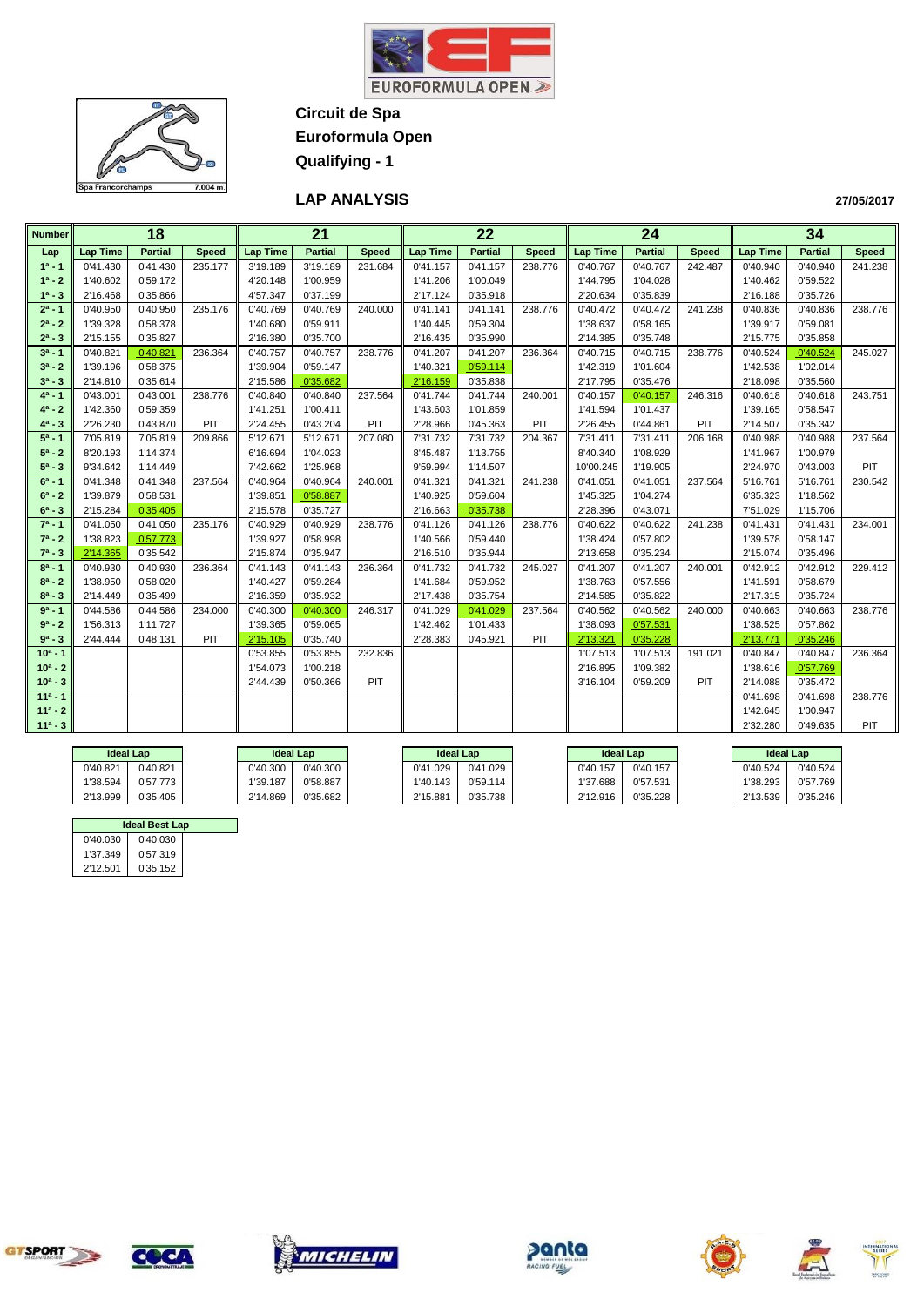



**Circuit de Spa Euroformula Open**

**Qualifying - 1**

# **LAP ANALYSIS**

| <b>Number</b> |                 | $\overline{18}$ |              |                 | $\overline{21}$ |              |                 | $\overline{22}$ |              |                 | $\overline{24}$ |              |                 | $\overline{34}$ |              |
|---------------|-----------------|-----------------|--------------|-----------------|-----------------|--------------|-----------------|-----------------|--------------|-----------------|-----------------|--------------|-----------------|-----------------|--------------|
| Lap           | <b>Lap Time</b> | <b>Partial</b>  | <b>Speed</b> | <b>Lap Time</b> | <b>Partial</b>  | <b>Speed</b> | <b>Lap Time</b> | <b>Partial</b>  | <b>Speed</b> | <b>Lap Time</b> | <b>Partial</b>  | <b>Speed</b> | <b>Lap Time</b> | <b>Partial</b>  | <b>Speed</b> |
| $1^a - 1$     | 0'41.430        | 0'41.430        | 235.177      | 3'19.189        | 3'19.189        | 231.684      | 0'41.157        | 0'41.157        | 238.776      | 0'40.767        | 0'40.767        | 242.487      | 0'40.940        | 0'40.940        | 241.238      |
| $1^a - 2$     | 1'40.602        | 0'59.172        |              | 4'20.148        | 1'00.959        |              | 1'41.206        | 1'00.049        |              | 1'44.795        | 1'04.028        |              | 1'40.462        | 0'59.522        |              |
| $1^a - 3$     | 2'16.468        | 0'35.866        |              | 4'57.347        | 0'37.199        |              | 2'17.124        | 0'35.918        |              | 2'20.634        | 0'35.839        |              | 2'16.188        | 0'35.726        |              |
| $2^a - 1$     | 0'40.950        | 0'40.950        | 235.176      | 0'40.769        | 0'40.769        | 240.000      | 0'41.141        | 0'41.141        | 238.776      | 0'40.472        | 0'40.472        | 241.238      | 0'40.836        | 0'40.836        | 238,776      |
| $2^a - 2$     | 1'39.328        | 0'58.378        |              | 1'40.680        | 0'59.911        |              | 1'40.445        | 0'59.304        |              | 1'38.637        | 0'58.165        |              | 1'39.917        | 0'59.081        |              |
| $2^a - 3$     | 2'15.155        | 0'35.827        |              | 2'16.380        | 0'35.700        |              | 2'16.435        | 0'35.990        |              | 2'14.385        | 0'35.748        |              | 2'15.775        | 0'35.858        |              |
| $3^a - 1$     | 0'40.821        | 0'40.821        | 236.364      | 0'40.757        | 0'40.757        | 238.776      | 0'41.207        | 0'41.207        | 236.364      | 0'40.715        | 0'40.715        | 238.776      | 0'40.524        | 0'40.524        | 245.027      |
| $3^a - 2$     | 1'39.196        | 0'58.375        |              | 1'39.904        | 0'59.147        |              | 1'40.321        | 0'59.114        |              | 1'42.319        | 1'01.604        |              | 1'42.538        | 1'02.014        |              |
| $3^a - 3$     | 2'14.810        | 0'35.614        |              | 2'15.586        | 0'35.682        |              | 2'16.159        | 0'35.838        |              | 2'17.795        | 0'35.476        |              | 2'18.098        | 0'35.560        |              |
| $4^a - 1$     | 0'43.001        | 0'43.001        | 238.776      | 0'40.840        | 0'40.840        | 237.564      | 0'41.744        | 0'41.744        | 240.001      | 0'40.157        | 0'40.157        | 246.316      | 0'40.618        | 0'40.618        | 243.751      |
| $4^a - 2$     | 1'42.360        | 0'59.359        |              | 1'41.251        | 1'00.411        |              | 1'43.603        | 1'01.859        |              | 1'41.594        | 1'01.437        |              | 1'39.165        | 0'58.547        |              |
| $4^a - 3$     | 2'26.230        | 0'43.870        | PIT          | 2'24.455        | 0'43.204        | PIT          | 2'28.966        | 0'45.363        | PIT          | 2'26.455        | 0'44.861        | PIT          | 2'14.507        | 0'35.342        |              |
| $5^a - 1$     | 7'05.819        | 7'05.819        | 209.866      | 5'12.671        | 5'12.671        | 207.080      | 7'31.732        | 7'31.732        | 204.367      | 7'31.411        | 7'31.411        | 206.168      | 0'40.988        | 0'40.988        | 237.564      |
| $5^a - 2$     | 8'20.193        | 1'14.374        |              | 6'16.694        | 1'04.023        |              | 8'45.487        | 1'13.755        |              | 8'40.340        | 1'08.929        |              | 1'41.967        | 1'00.979        |              |
| $5^a - 3$     | 9'34.642        | 1'14.449        |              | 7'42.662        | 1'25.968        |              | 9'59.994        | 1'14.507        |              | 10'00.245       | 1'19.905        |              | 2'24.970        | 0'43.003        | PIT          |
| $6^a - 1$     | 0'41.348        | 0'41.348        | 237.564      | 0'40.964        | 0'40.964        | 240.001      | 0'41.321        | 0'41.321        | 241.238      | 0'41.051        | 0'41.051        | 237.564      | 5'16.761        | 5'16.761        | 230.542      |
| $6^a - 2$     | 1'39.879        | 0'58.531        |              | 1'39.851        | 0'58.887        |              | 1'40.925        | 0'59.604        |              | 1'45.325        | 1'04.274        |              | 6'35.323        | 1'18.562        |              |
| $6^a - 3$     | 2'15.284        | 0'35.405        |              | 2'15.578        | 0'35.727        |              | 2'16.663        | 0'35.738        |              | 2'28.396        | 0'43.071        |              | 7'51.029        | 1'15.706        |              |
| $7^a - 1$     | 0'41.050        | 0'41.050        | 235.176      | 0'40.929        | 0'40.929        | 238.776      | 0'41.126        | 0'41.126        | 238.776      | 0'40.622        | 0'40.622        | 241.238      | 0'41.431        | 0'41.431        | 234.001      |
| $7^a - 2$     | 1'38.823        | 0'57.773        |              | 1'39.927        | 0'58.998        |              | 1'40.566        | 0'59.440        |              | 1'38.424        | 0'57.802        |              | 1'39.578        | 0'58.147        |              |
| $7^a - 3$     | 2'14.365        | 0'35.542        |              | 2'15.874        | 0'35.947        |              | 2'16.510        | 0'35.944        |              | 2'13.658        | 0'35.234        |              | 2'15.074        | 0'35.496        |              |
| $8^a - 1$     | 0'40.930        | 0'40.930        | 236.364      | 0'41.143        | 0'41.143        | 236.364      | 0'41.732        | 0'41.732        | 245.027      | 0'41.207        | 0'41.207        | 240.001      | 0'42.912        | 0'42.912        | 229.412      |
| $8^a - 2$     | 1'38.950        | 0'58.020        |              | 1'40.427        | 0'59.284        |              | 1'41.684        | 0'59.952        |              | 1'38.763        | 0'57.556        |              | 1'41.591        | 0'58.679        |              |
| $8^a - 3$     | 2'14.449        | 0'35.499        |              | 2'16.359        | 0'35.932        |              | 2'17.438        | 0'35.754        |              | 2'14.585        | 0'35.822        |              | 2'17.315        | 0'35.724        |              |
| $9a - 1$      | 0'44.586        | 0'44.586        | 234.000      | 0'40.300        | 0'40.300        | 246.317      | 0'41.029        | 0'41.029        | 237.564      | 0'40.562        | 0'40.562        | 240.000      | 0'40.663        | 0'40.663        | 238.776      |
| $9a - 2$      | 1'56.313        | 1'11.727        |              | 1'39.365        | 0'59.065        |              | 1'42.462        | 1'01.433        |              | 1'38.093        | 0'57.531        |              | 1'38.525        | 0'57.862        |              |
| $9^a - 3$     | 2'44.444        | 0'48.131        | PIT          | 2'15.105        | 0'35.740        |              | 2'28.383        | 0'45.921        | PIT          | 2'13.321        | 0'35.228        |              | 2'13.771        | 0'35.246        |              |
| $10a - 1$     |                 |                 |              | 0'53.855        | 0'53.855        | 232.836      |                 |                 |              | 1'07.513        | 1'07.513        | 191.021      | 0'40.847        | 0'40.847        | 236.364      |
| $10^a - 2$    |                 |                 |              | 1'54.073        | 1'00.218        |              |                 |                 |              | 2'16.895        | 1'09.382        |              | 1'38.616        | 0'57.769        |              |
| $10^a - 3$    |                 |                 |              | 2'44.439        | 0'50.366        | PIT          |                 |                 |              | 3'16.104        | 0'59.209        | PIT          | 2'14.088        | 0'35.472        |              |
| $11a - 1$     |                 |                 |              |                 |                 |              |                 |                 |              |                 |                 |              | 0'41.698        | 0'41.698        | 238.776      |
| $11a - 2$     |                 |                 |              |                 |                 |              |                 |                 |              |                 |                 |              | 1'42.645        | 1'00.947        |              |
| $11a - 3$     |                 |                 |              |                 |                 |              |                 |                 |              |                 |                 |              | 2'32.280        | 0'49.635        | PIT          |

|          | <b>Ideal Lap</b> | <b>Ideal Lap</b> |          |          | <b>Ideal Lap</b> | <b>Ideal Lap</b> |          |          | <b>Ideal Lap</b> |
|----------|------------------|------------------|----------|----------|------------------|------------------|----------|----------|------------------|
| 0'40.821 | 0'40.821         | 0'40.300         | 0'40.300 | 0'41.029 | 0'41.029         | 0'40.157         | 0'40.157 | 0'40.524 | 0'40.524         |
| 1'38.594 | 0'57.773         | 1'39.187         | 0'58.887 | '40.143  | 0'59.114         | 1'37.688         | 0'57.531 | 38.293   | 0'57.769         |
| 2'13.999 | 0'35.405         | 2'14.869         | 0'35.682 | 2'15.881 | 0'35.738         | 2'12.916         | 0'35.228 | 2'13.539 | 0'35.246         |

|                      | <b>Ideal Best Lap</b> |  |  |  |  |  |  |  |  |  |
|----------------------|-----------------------|--|--|--|--|--|--|--|--|--|
| 0'40.030             | 0'40.030              |  |  |  |  |  |  |  |  |  |
| 1'37.349             | 0'57.319              |  |  |  |  |  |  |  |  |  |
| 0'35.152<br>2'12.501 |                       |  |  |  |  |  |  |  |  |  |

ŢJ











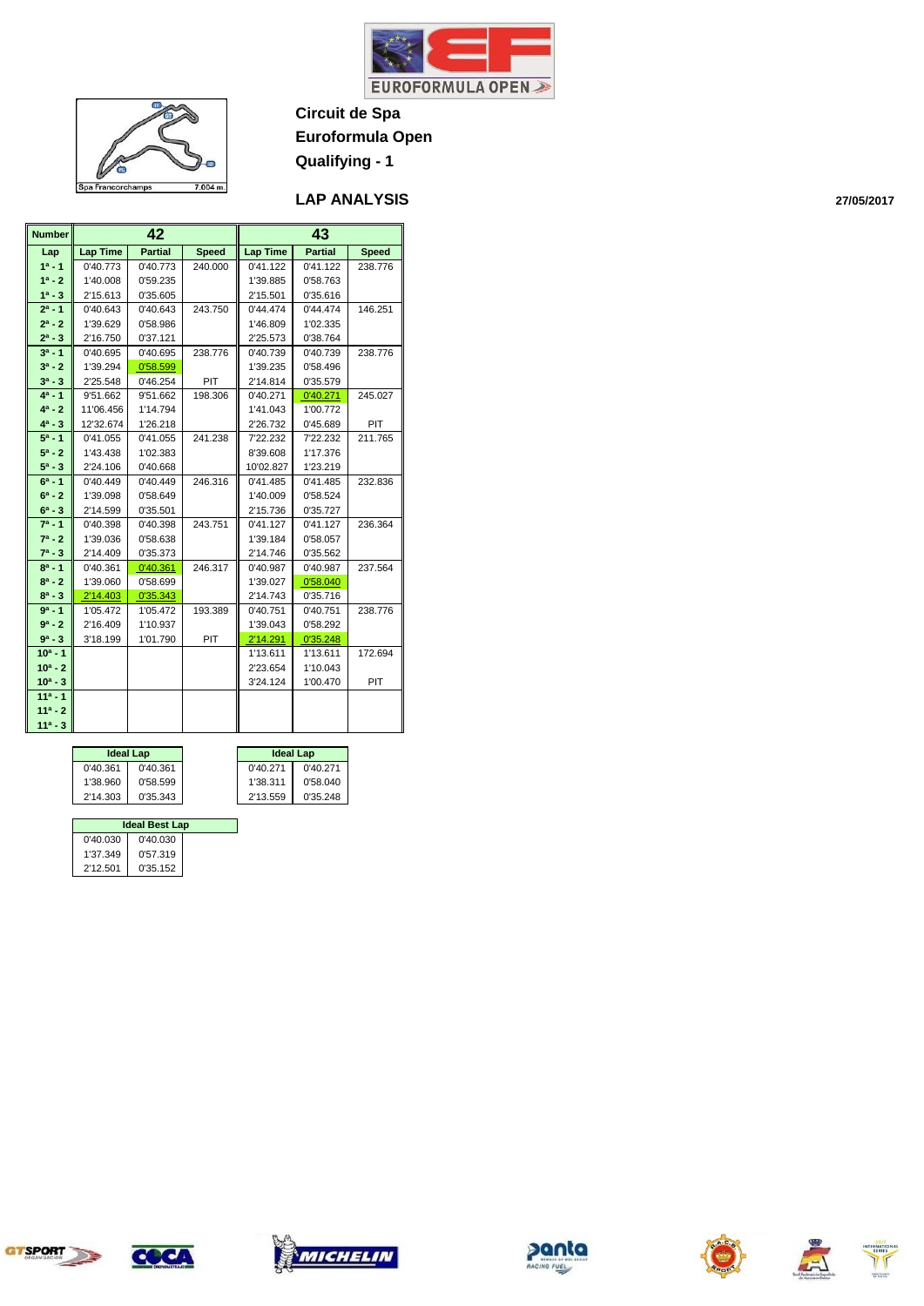

#### **LAP ANALYSIS**

| <b>Number</b> |                 | 42             |              | 43<br><b>Partial</b><br><b>Lap Time</b> |          |              |  |  |  |
|---------------|-----------------|----------------|--------------|-----------------------------------------|----------|--------------|--|--|--|
| Lap           | <b>Lap Time</b> | <b>Partial</b> | <b>Speed</b> |                                         |          | <b>Speed</b> |  |  |  |
| $1a - 1$      | 0'40.773        | 0'40.773       | 240.000      | 0'41.122                                | 0'41.122 | 238.776      |  |  |  |
| $1^a - 2$     | 1'40.008        | 0'59.235       |              | 1'39.885                                | 0'58.763 |              |  |  |  |
| $1^a - 3$     | 2'15.613        | 0'35.605       |              | 2'15.501                                | 0'35.616 |              |  |  |  |
| $2^a - 1$     | 0'40.643        | 0'40.643       | 243.750      | 0'44.474                                | 0'44.474 | 146.251      |  |  |  |
| $2^a - 2$     | 1'39.629        | 0'58.986       |              | 1'46.809                                | 1'02.335 |              |  |  |  |
| $2^a - 3$     | 2'16.750        | 0'37.121       |              | 2'25.573                                | 0'38.764 |              |  |  |  |
| $3^a - 1$     | 0'40.695        | 0'40.695       | 238.776      | 0'40.739                                | 0'40.739 | 238.776      |  |  |  |
| $3^a - 2$     | 1'39.294        | 0'58.599       |              | 1'39.235                                | 0'58.496 |              |  |  |  |
| $3^a - 3$     | 2'25.548        | 0'46.254       | PIT          | 2'14.814                                | 0'35.579 |              |  |  |  |
| $4^a - 1$     | 9'51.662        | 9'51.662       | 198.306      | 0'40.271                                | 0'40.271 | 245.027      |  |  |  |
| $4^a - 2$     | 11'06.456       | 1'14.794       |              | 1'41.043                                | 1'00.772 |              |  |  |  |
| $4^a - 3$     | 12'32.674       | 1'26.218       |              | 2'26.732                                | 0'45.689 | PIT          |  |  |  |
| $5^a - 1$     | 0'41.055        | 0'41.055       | 241.238      | 7'22.232                                | 7'22.232 | 211.765      |  |  |  |
| $5^a - 2$     | 1'43.438        | 1'02.383       |              | 8'39.608                                | 1'17.376 |              |  |  |  |
| $5^a - 3$     | 2'24.106        | 0'40.668       |              | 10'02.827                               | 1'23.219 |              |  |  |  |
| $6^a - 1$     | 0'40.449        | 0'40.449       | 246.316      | 0'41.485                                | 0'41.485 | 232.836      |  |  |  |
| $6^a - 2$     | 1'39.098        | 0'58.649       |              | 1'40.009                                | 0'58.524 |              |  |  |  |
| $6^a - 3$     | 2'14.599        | 0'35.501       |              | 2'15.736                                | 0'35.727 |              |  |  |  |
| $7^a - 1$     | 0'40.398        | 0'40.398       | 243.751      | 0'41.127                                | 0'41.127 | 236.364      |  |  |  |
| $7^a - 2$     | 1'39.036        | 0'58.638       |              | 1'39.184                                | 0'58.057 |              |  |  |  |
| $7^a - 3$     | 2'14.409        | 0'35.373       |              | 2'14.746                                | 0'35.562 |              |  |  |  |
| $8^a - 1$     | 0'40.361        | 0'40.361       | 246.317      | 0'40.987                                | 0'40.987 | 237.564      |  |  |  |
| $8^a - 2$     | 1'39.060        | 0'58.699       |              | 1'39.027                                | 0'58.040 |              |  |  |  |
| $8^a - 3$     | 2'14.403        | 0'35.343       |              | 2'14.743                                | 0'35.716 |              |  |  |  |
| $9a - 1$      | 1'05.472        | 1'05.472       | 193.389      | 0'40.751                                | 0'40.751 | 238.776      |  |  |  |
| $9a - 2$      | 2'16.409        | 1'10.937       |              | 1'39.043                                | 0'58.292 |              |  |  |  |
| $9^a - 3$     | 3'18.199        | 1'01.790       | PIT          | 2'14.291                                | 0'35.248 |              |  |  |  |
| $10a - 1$     |                 |                |              | 1'13.611                                | 1'13.611 | 172.694      |  |  |  |
| $10^a - 2$    |                 |                |              | 2'23.654                                | 1'10.043 |              |  |  |  |
| $10^a - 3$    |                 |                |              | 3'24.124                                | 1'00.470 | PIT          |  |  |  |
| $11a - 1$     |                 |                |              |                                         |          |              |  |  |  |
| $11a - 2$     |                 |                |              |                                         |          |              |  |  |  |
| $11a - 3$     |                 |                |              |                                         |          |              |  |  |  |

 $7.004 m.$ 

Spa Francorchamps

|          | <b>Ideal Lap</b> |          | <b>Ideal Lap</b> |
|----------|------------------|----------|------------------|
| 0'40.361 | 0'40.361         | 0'40.271 | 0'40.271         |
| 1'38.960 | 0'58.599         | 1'38.311 | 0'58.040         |
| 2'14.303 | 0'35.343         | 2'13.559 | 0'35.248         |

#### 0'40.030 0'40.030 0'40.030 1'37.349 2'12.501 1'37.349 0'57.319 0'35.152 **Ideal Best Lap**<br> **0'40.030**













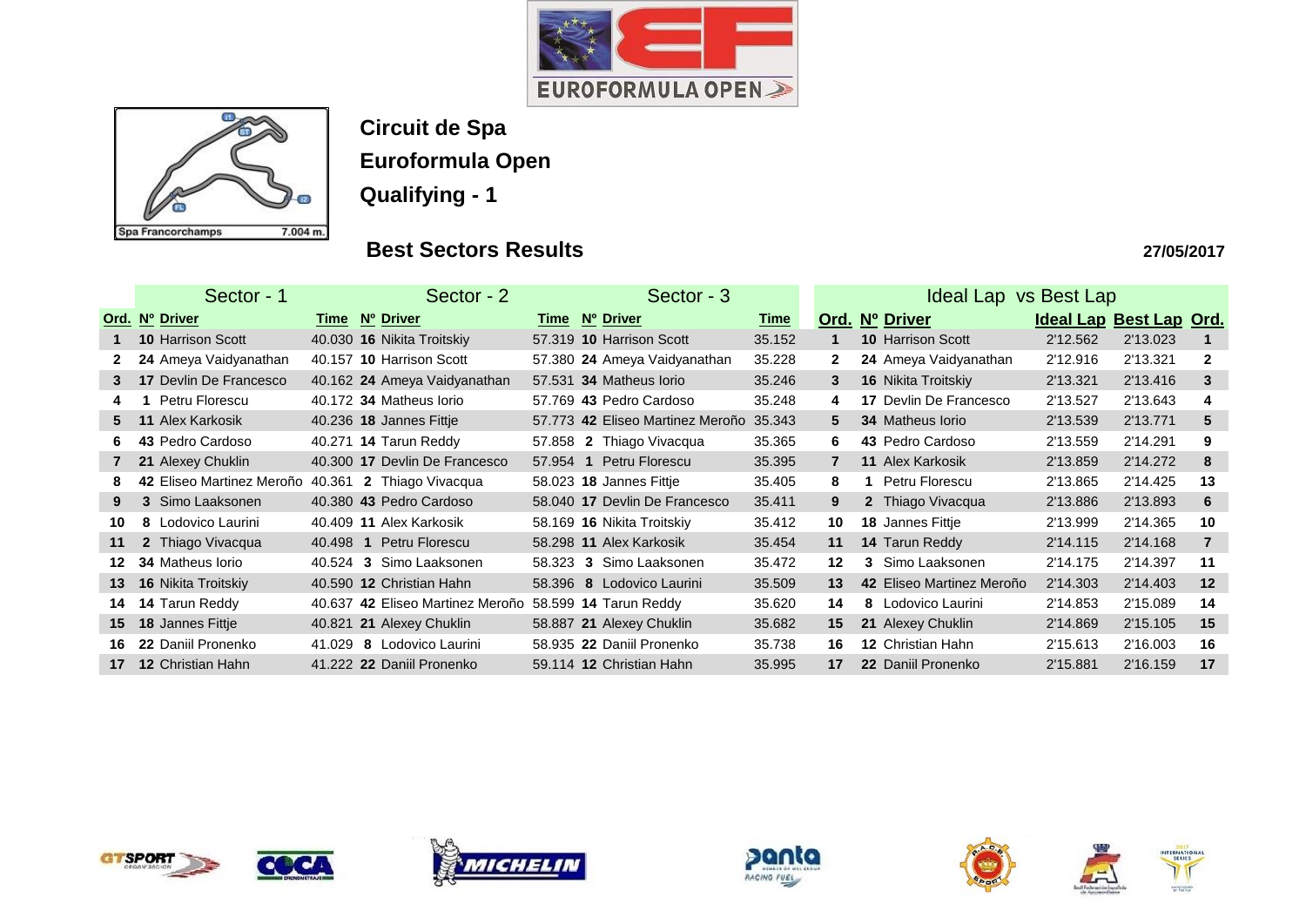



**Circuit de Spa**

**Euroformula Open**

**Qualifying - 1**

# **Best Sectors Results**

|                | Sector - 1                                         | Sector - 2  |                                  |      | Sector - 3                       |             | Ideal Lap vs Best Lap |                               |          |                         |                |
|----------------|----------------------------------------------------|-------------|----------------------------------|------|----------------------------------|-------------|-----------------------|-------------------------------|----------|-------------------------|----------------|
|                | Ord. Nº Driver                                     | <u>Time</u> | Nº Driver                        | Time | Nº Driver                        | <u>Time</u> |                       | Ord. Nº Driver                |          | Ideal Lap Best Lap Ord. |                |
|                | <b>10 Harrison Scott</b>                           |             | 40.030 16 Nikita Troitskiy       |      | 57.319 10 Harrison Scott         | 35.152      |                       | <b>10 Harrison Scott</b>      | 2'12.562 | 2'13.023                |                |
|                | 24 Ameya Vaidyanathan                              |             | 40.157 10 Harrison Scott         |      | 57.380 24 Ameya Vaidyanathan     | 35.228      | $\mathbf{2}$          | 24 Ameya Vaidyanathan         | 2'12.916 | 2'13.321                | $\mathbf{2}$   |
| 3 <sup>1</sup> | <b>17 Devlin De Francesco</b>                      |             | 40.162 24 Ameya Vaidyanathan     |      | 57.531 34 Matheus Iorio          | 35.246      | 3                     | 16 Nikita Troitskiy           | 2'13.321 | 2'13.416                | 3              |
| 4              | Petru Florescu                                     |             | 40.172 34 Matheus Iorio          |      | 57.769 43 Pedro Cardoso          | 35.248      | 4                     | <b>17 Devlin De Francesco</b> | 2'13.527 | 2'13.643                | 4              |
| 5              | <b>11 Alex Karkosik</b>                            |             | 40.236 <b>18 Jannes Fittje</b>   |      | 57.773 42 Eliseo Martinez Meroño | 35.343      | 5.                    | 34 Matheus Iorio              | 2'13.539 | 2'13.771                | 5              |
| 6.             | 43 Pedro Cardoso                                   |             | 40.271 <b>14 Tarun Reddy</b>     |      | 57.858 2 Thiago Vivacqua         | 35.365      | 6                     | 43 Pedro Cardoso              | 2'13.559 | 2'14.291                | 9              |
| 7              | 21 Alexey Chuklin                                  |             | 40.300 17 Devlin De Francesco    |      | 57.954 1 Petru Florescu          | 35.395      | $\overline{7}$        | <b>11 Alex Karkosik</b>       | 2'13.859 | 2'14.272                | 8              |
|                | 42 Eliseo Martinez Meroño 40.361 2 Thiago Vivacqua |             |                                  |      | 58.023 <b>18 Jannes Fittje</b>   | 35.405      | 8                     | Petru Florescu                | 2'13.865 | 2'14.425                | 13             |
| 9              | 3 Simo Laaksonen                                   |             | 40.380 43 Pedro Cardoso          |      | 58.040 17 Devlin De Francesco    | 35.411      | 9                     | 2 Thiago Vivacqua             | 2'13.886 | 2'13.893                | 6              |
| 10             | 8 Lodovico Laurini                                 |             | 40.409 11 Alex Karkosik          |      | 58.169 16 Nikita Troitskiy       | 35.412      | 10                    | <b>18 Jannes Fittje</b>       | 2'13.999 | 2'14.365                | 10             |
| 11             | 2 Thiago Vivacqua                                  | 40.498 1    | Petru Florescu                   |      | 58.298 11 Alex Karkosik          | 35.454      | 11                    | 14 Tarun Reddy                | 2'14.115 | 2'14.168                | $\overline{7}$ |
| 12             | <b>34 Matheus lorio</b>                            | 40.524 3    | Simo Laaksonen                   |      | 58.323 3 Simo Laaksonen          | 35.472      | $12 \,$               | 3 Simo Laaksonen              | 2'14.175 | 2'14.397                | 11             |
| 13             | <b>16 Nikita Troitskiy</b>                         |             | 40.590 12 Christian Hahn         |      | 58.396 8 Lodovico Laurini        | 35.509      | 13                    | 42 Eliseo Martinez Meroño     | 2'14.303 | 2'14.403                | 12             |
| 14             | 14 Tarun Reddy                                     |             | 40.637 42 Eliseo Martinez Meroño |      | 58.599 <b>14 Tarun Reddy</b>     | 35.620      | 14                    | 8 Lodovico Laurini            | 2'14.853 | 2'15.089                | 14             |
| 15             | 18 Jannes Fittje                                   |             | 40.821 21 Alexey Chuklin         |      | 58.887 21 Alexey Chuklin         | 35.682      | 15                    | 21 Alexey Chuklin             | 2'14.869 | 2'15.105                | 15             |
| 16.            | 22 Daniil Pronenko                                 | 41.029      | 8 Lodovico Laurini               |      | 58.935 22 Daniil Pronenko        | 35.738      | 16                    | <b>12 Christian Hahn</b>      | 2'15.613 | 2'16.003                | 16             |
| 17             | <b>12 Christian Hahn</b>                           |             | 41.222 22 Daniil Pronenko        |      | 59.114 12 Christian Hahn         | 35.995      | 17                    | 22 Daniil Pronenko            | 2'15.881 | 2'16.159                | 17             |













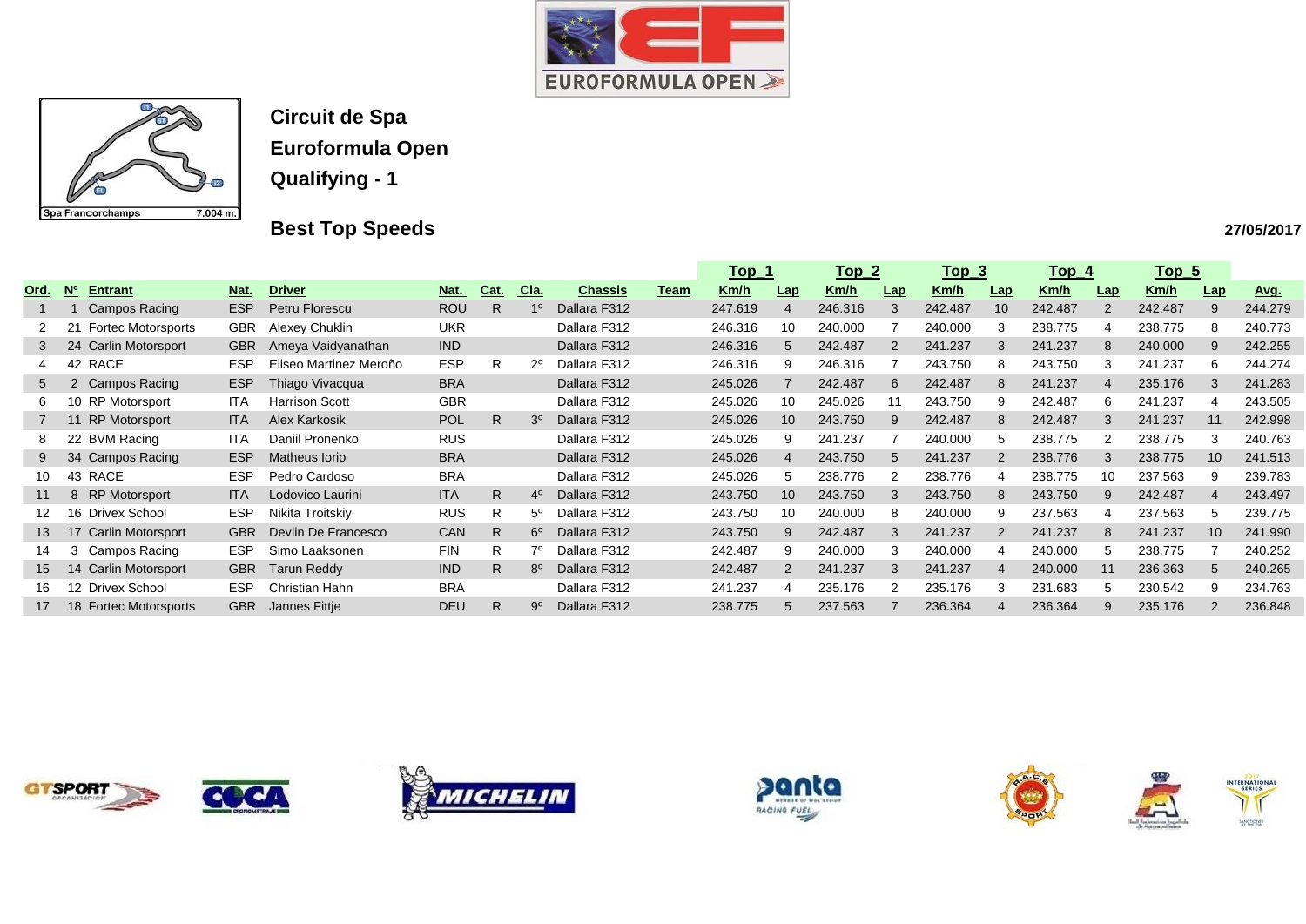



**Best Top Speeds** 

|      |                           |                           |            |                          |            |              |                |                |             | <u>Top_1</u> |     | <u>Top 2</u> |                | <u>Top_3</u> |                 | <u>Top_4</u> |     | <u>Top_5</u> |                 |         |
|------|---------------------------|---------------------------|------------|--------------------------|------------|--------------|----------------|----------------|-------------|--------------|-----|--------------|----------------|--------------|-----------------|--------------|-----|--------------|-----------------|---------|
| Ord. | $\overline{\mathsf{N}}$ o | <b>Entrant</b>            | Nat.       | <b>Driver</b>            | <u>Nat</u> | Cat.         | Cla.           | <b>Chassis</b> | <u>Team</u> | <u>Km/h</u>  | Lap | Km/h         | Lap            | Km/h         | Lap             | <u>Km/h</u>  | Lap | <u>Km/h</u>  | Lap             | Avg.    |
|      |                           | Campos Racing             | <b>ESP</b> | Petru Florescu           | <b>ROU</b> | R.           | 1 <sup>0</sup> | Dallara F312   |             | 247.619      | 4   | 246.316      | 3              | 242.487      | 10 <sup>1</sup> | 242.487      |     | 242.487      | 9               | 244.279 |
|      |                           | <b>Fortec Motorsports</b> | <b>GBR</b> | Alexey Chuklin           | <b>UKR</b> |              |                | Dallara F312   |             | 246.316      | 10  | 240.000      |                | 240.000      |                 | 238.775      |     | 238.775      | 8               | 240.773 |
| 3    |                           | 24 Carlin Motorsport      | <b>GBR</b> | Ameya Vaidyanathan       | <b>IND</b> |              |                | Dallara F312   |             | 246.316      | 5   | 242.487      | $\overline{2}$ | 241.237      | 3               | 241.237      |     | 240.000      | 9               | 242.255 |
| 4    |                           | 42 RACE                   | <b>ESP</b> | Eliseo Martinez Meroño   | <b>ESP</b> | R.           | $2^{\circ}$    | Dallara F312   |             | 246.316      | 9   | 246.316      |                | 243.750      | 8               | 243.750      |     | 241.237      | 6               | 244.274 |
| 5    |                           | 2 Campos Racing           | <b>ESP</b> | Thiago Vivacqua          | <b>BRA</b> |              |                | Dallara F312   |             | 245.026      |     | 242.487      | 6              | 242.487      | 8               | 241.237      |     | 235.176      | 3               | 241.283 |
| 6.   |                           | 10 RP Motorsport          | ITA        | <b>Harrison Scott</b>    | <b>GBR</b> |              |                | Dallara F312   |             | 245.026      | 10  | 245.026      | 11             | 243.750      | 9               | 242.487      | 6   | 241.237      | 4               | 243.505 |
|      |                           | 11 RP Motorsport          | <b>ITA</b> | <b>Alex Karkosik</b>     | <b>POL</b> | $\mathsf{R}$ | 3 <sup>o</sup> | Dallara F312   |             | 245.026      | 10  | 243.750      | 9              | 242.487      | 8               | 242.487      |     | 241.237      | 11              | 242.998 |
| 8.   |                           | 22 BVM Racing             | <b>ITA</b> | Daniil Pronenko          | <b>RUS</b> |              |                | Dallara F312   |             | 245.026      | 9   | 241.237      |                | 240.000      | 5               | 238.775      |     | 238.775      | 3               | 240.763 |
|      |                           | 34 Campos Racing          | <b>ESP</b> | Matheus Iorio            | <b>BRA</b> |              |                | Dallara F312   |             | 245.026      | 4   | 243.750      | 5              | 241.237      |                 | 238.776      |     | 238.775      | 10              | 241.513 |
| 10   |                           | 43 RACE                   | <b>ESP</b> | Pedro Cardoso            | <b>BRA</b> |              |                | Dallara F312   |             | 245.026      | 5   | 238.776      |                | 238.776      |                 | 238.775      | 10  | 237.563      | 9               | 239.783 |
| 11   |                           | 8 RP Motorsport           | <b>ITA</b> | Lodovico Laurini         | <b>ITA</b> | $\mathsf{R}$ | $4^{\circ}$    | Dallara F312   |             | 243.750      | 10  | 243.750      | 3              | 243.750      | 8               | 243.750      |     | 242.487      | $\overline{4}$  | 243.497 |
| 12   |                           | 16 Drivex School          | <b>ESP</b> | Nikita Troitskiy         | <b>RUS</b> | R.           | $5^\circ$      | Dallara F312   |             | 243.750      | 10  | 240.000      | 8              | 240.000      | .9              | 237.563      |     | 237.563      | 5               | 239.775 |
| 13   | 17                        | <b>Carlin Motorsport</b>  | <b>GBR</b> | Devlin De Francesco      | CAN        | R.           | $6^{\circ}$    | Dallara F312   |             | 243.750      | 9   | 242.487      | 3              | 241.237      |                 | 241.237      |     | 241.237      | 10 <sup>1</sup> | 241.990 |
| 14   |                           | 3 Campos Racing           | <b>ESP</b> | Simo Laaksonen           | <b>FIN</b> | R.           | 70             | Dallara F312   |             | 242.487      | 9   | 240.000      | 3              | 240.000      | 4               | 240.000      |     | 238.775      |                 | 240.252 |
| 15   |                           | 14 Carlin Motorsport      | <b>GBR</b> | <b>Tarun Reddy</b>       | <b>IND</b> | R.           | $8^{\circ}$    | Dallara F312   |             | 242.487      | 2   | 241.237      | 3              | 241.237      | $\overline{4}$  | 240.000      | 11  | 236.363      | 5               | 240.265 |
| 16   |                           | 12 Drivex School          | <b>ESP</b> | <b>Christian Hahn</b>    | <b>BRA</b> |              |                | Dallara F312   |             | 241.237      |     | 235.176      | 2              | 235.176      | 3               | 231.683      |     | 230.542      | 9               | 234.763 |
|      |                           | 18 Fortec Motorsports     |            | <b>GBR</b> Jannes Fittje | <b>DEU</b> | R.           | 9º             | Dallara F312   |             | 238.775      | 5   | 237.563      |                | 236.364      |                 | 236.364      |     | 235.176      |                 | 236.848 |
|      |                           |                           |            |                          |            |              |                |                |             |              |     |              |                |              |                 |              |     |              |                 |         |











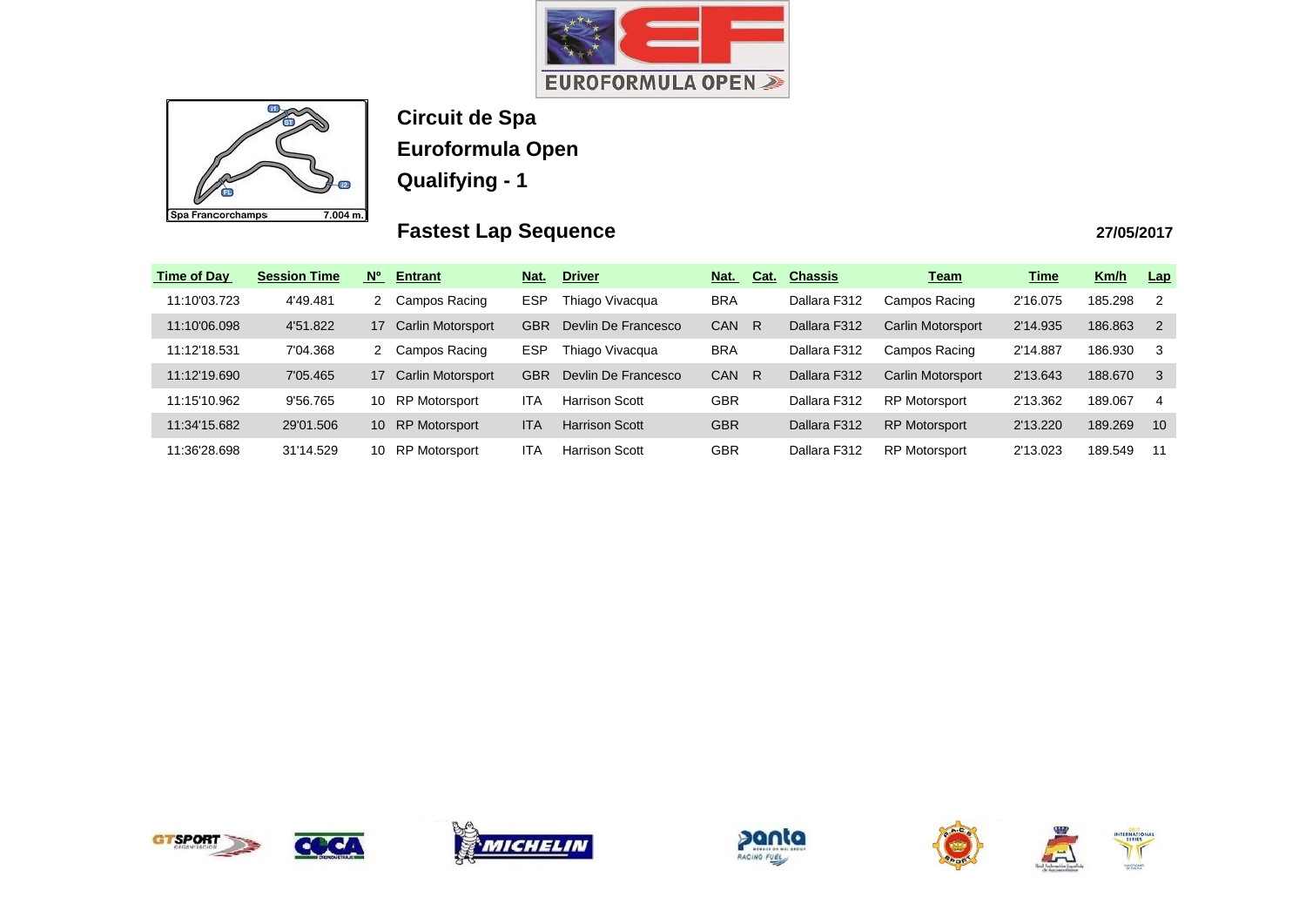



**Circuit de Spa Euroformula Open**

**Qualifying - 1**

# **Fastest Lap Sequence**

| <b>Time of Day</b> | <b>Session Time</b> | <b>N°</b><br><b>Entrant</b>    | Nat.       | <b>Driver</b>         | Nat.       | Cat. | <b>Chassis</b> | <b>Team</b>          | <b>Time</b> | Km/h    | Lap            |
|--------------------|---------------------|--------------------------------|------------|-----------------------|------------|------|----------------|----------------------|-------------|---------|----------------|
| 11:10'03.723       | 4'49.481            | Campos Racing                  | ESP        | Thiago Vivacqua       | <b>BRA</b> |      | Dallara F312   | Campos Racing        | 2'16.075    | 185.298 | -2             |
| 11:10'06.098       | 4'51.822            | <b>Carlin Motorsport</b><br>17 | <b>GBR</b> | Devlin De Francesco   | <b>CAN</b> | R    | Dallara F312   | Carlin Motorsport    | 2'14.935    | 186.863 | $\overline{2}$ |
| 11:12'18.531       | 7'04.368            | Campos Racing                  | <b>ESP</b> | Thiago Vivacqua       | <b>BRA</b> |      | Dallara F312   | Campos Racing        | 2'14.887    | 186.930 | 3              |
| 11:12'19.690       | 7'05.465            | Carlin Motorsport<br>17        | <b>GBR</b> | Devlin De Francesco   | <b>CAN</b> | R    | Dallara F312   | Carlin Motorsport    | 2'13.643    | 188.670 | -3             |
| 11:15'10.962       | 9'56.765            | RP Motorsport<br>10            | ITA        | <b>Harrison Scott</b> | <b>GBR</b> |      | Dallara F312   | <b>RP Motorsport</b> | 2'13.362    | 189.067 | 4              |
| 11:34'15.682       | 29'01.506           | <b>RP</b> Motorsport<br>10     | <b>ITA</b> | <b>Harrison Scott</b> | <b>GBR</b> |      | Dallara F312   | <b>RP Motorsport</b> | 2'13.220    | 189.269 | 10             |
| 11:36'28.698       | 31'14.529           | <b>RP Motorsport</b><br>10     | ITA        | <b>Harrison Scott</b> | <b>GBR</b> |      | Dallara F312   | <b>RP Motorsport</b> | 2'13.023    | 189.549 | 11             |









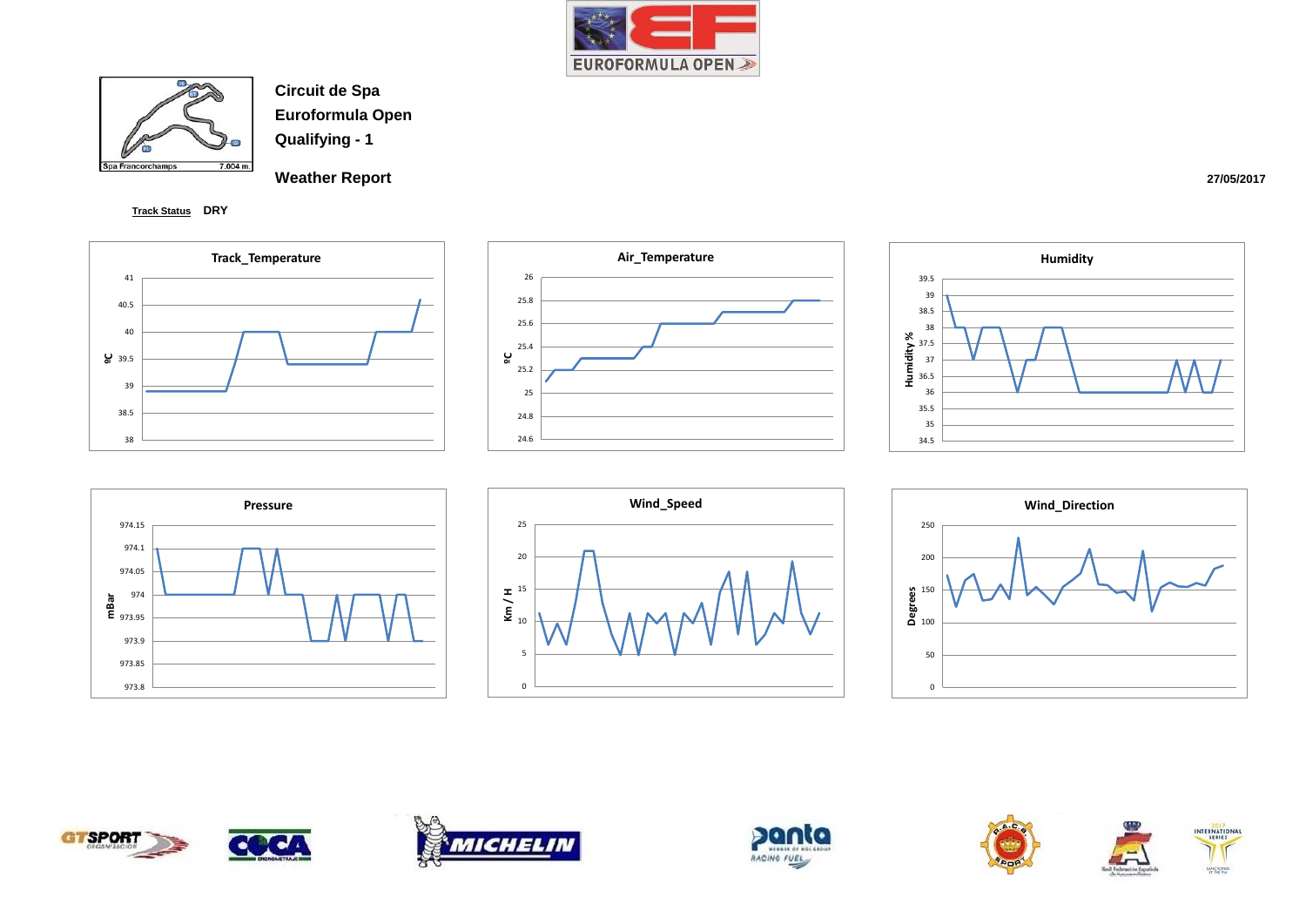



**Weather Report** 

**Track Status DRY**